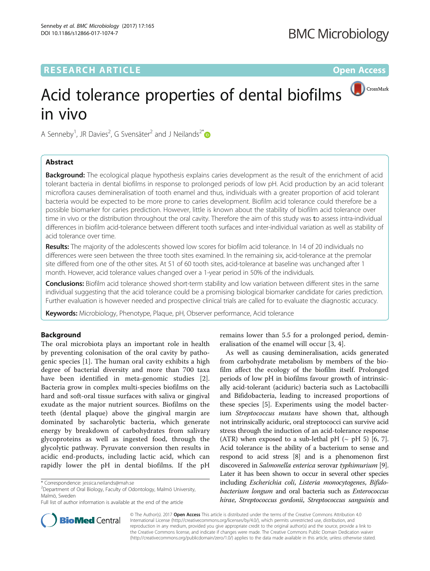# **RESEARCH ARTICLE Example 2014 12:30 The Contract of Contract ACCESS**

CrossMark

# Acid tolerance properties of dental biofilms in vivo

A Senneby<sup>1</sup>, JR Davies<sup>2</sup>, G Svensäter<sup>2</sup> and J Neilands<sup>2\*</sup>

# Abstract

**Background:** The ecological plaque hypothesis explains caries development as the result of the enrichment of acid tolerant bacteria in dental biofilms in response to prolonged periods of low pH. Acid production by an acid tolerant microflora causes demineralisation of tooth enamel and thus, individuals with a greater proportion of acid tolerant bacteria would be expected to be more prone to caries development. Biofilm acid tolerance could therefore be a possible biomarker for caries prediction. However, little is known about the stability of biofilm acid tolerance over time in vivo or the distribution throughout the oral cavity. Therefore the aim of this study was to assess intra-individual differences in biofilm acid-tolerance between different tooth surfaces and inter-individual variation as well as stability of acid tolerance over time.

Results: The majority of the adolescents showed low scores for biofilm acid tolerance. In 14 of 20 individuals no differences were seen between the three tooth sites examined. In the remaining six, acid-tolerance at the premolar site differed from one of the other sites. At 51 of 60 tooth sites, acid-tolerance at baseline was unchanged after 1 month. However, acid tolerance values changed over a 1-year period in 50% of the individuals.

**Conclusions:** Biofilm acid tolerance showed short-term stability and low variation between different sites in the same individual suggesting that the acid tolerance could be a promising biological biomarker candidate for caries prediction. Further evaluation is however needed and prospective clinical trials are called for to evaluate the diagnostic accuracy.

Keywords: Microbiology, Phenotype, Plaque, pH, Observer performance, Acid tolerance

# Background

The oral microbiota plays an important role in health by preventing colonisation of the oral cavity by pathogenic species [\[1](#page-6-0)]. The human oral cavity exhibits a high degree of bacterial diversity and more than 700 taxa have been identified in meta-genomic studies [\[2](#page-6-0)]. Bacteria grow in complex multi-species biofilms on the hard and soft-oral tissue surfaces with saliva or gingival exudate as the major nutrient sources. Biofilms on the teeth (dental plaque) above the gingival margin are dominated by sacharolytic bacteria, which generate energy by breakdown of carbohydrates from salivary glycoproteins as well as ingested food, through the glycolytic pathway. Pyruvate conversion then results in acidic end-products, including lactic acid, which can rapidly lower the pH in dental biofilms. If the pH

<sup>2</sup>Department of Oral Biology, Faculty of Odontology, Malmö University, Malmö, Sweden



As well as causing demineralisation, acids generated from carbohydrate metabolism by members of the biofilm affect the ecology of the biofilm itself. Prolonged periods of low pH in biofilms favour growth of intrinsically acid-tolerant (aciduric) bacteria such as Lactobacilli and Bifidobacteria, leading to increased proportions of these species [\[5](#page-6-0)]. Experiments using the model bacterium Streptococcus mutans have shown that, although not intrinsically aciduric, oral streptococci can survive acid stress through the induction of an acid-tolerance response (ATR) when exposed to a sub-lethal pH  $(\sim$  pH 5) [[6, 7](#page-6-0)]. Acid tolerance is the ability of a bacterium to sense and respond to acid stress [[8](#page-6-0)] and is a phenomenon first discovered in Salmonella enterica serovar typhimurium [[9](#page-6-0)]. Later it has been shown to occur in several other species including Escherichia coli, Listeria monocytogenes, Bifidobacterium longum and oral bacteria such as Enterococcus hirae, Streptococcus gordonii, Streptococcus sanguinis and



© The Author(s). 2017 **Open Access** This article is distributed under the terms of the Creative Commons Attribution 4.0 International License [\(http://creativecommons.org/licenses/by/4.0/](http://creativecommons.org/licenses/by/4.0/)), which permits unrestricted use, distribution, and reproduction in any medium, provided you give appropriate credit to the original author(s) and the source, provide a link to the Creative Commons license, and indicate if changes were made. The Creative Commons Public Domain Dedication waiver [\(http://creativecommons.org/publicdomain/zero/1.0/](http://creativecommons.org/publicdomain/zero/1.0/)) applies to the data made available in this article, unless otherwise stated.

<sup>\*</sup> Correspondence: [jessica.neilands@mah.se](mailto:jessica.neilands@mah.se) <sup>2</sup>

Full list of author information is available at the end of the article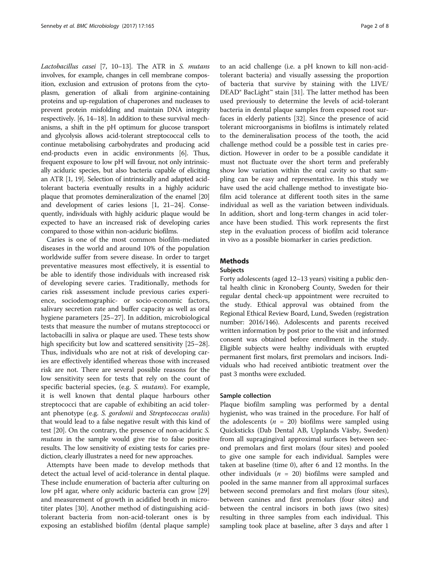Lactobacillus casei [[7](#page-6-0), [10](#page-6-0)–[13\]](#page-6-0). The ATR in S. mutans involves, for example, changes in cell membrane composition, exclusion and extrusion of protons from the cytoplasm, generation of alkali from arginine-containing proteins and up-regulation of chaperones and nucleases to prevent protein misfolding and maintain DNA integrity respectively. [\[6, 14](#page-6-0)–[18](#page-6-0)]. In addition to these survival mechanisms, a shift in the pH optimum for glucose transport and glycolysis allows acid-tolerant streptococcal cells to continue metabolising carbohydrates and producing acid end-products even in acidic environments [\[6\]](#page-6-0). Thus, frequent exposure to low pH will favour, not only intrinsically aciduric species, but also bacteria capable of eliciting an ATR [\[1,](#page-6-0) [19](#page-7-0)]. Selection of intrinsically and adapted acidtolerant bacteria eventually results in a highly aciduric plaque that promotes demineralization of the enamel [\[20](#page-7-0)] and development of caries lesions [\[1,](#page-6-0) [21](#page-7-0)–[24](#page-7-0)]. Consequently, individuals with highly aciduric plaque would be expected to have an increased risk of developing caries compared to those within non-aciduric biofilms.

Caries is one of the most common biofilm-mediated diseases in the world and around 10% of the population worldwide suffer from severe disease. In order to target preventative measures most effectively, it is essential to be able to identify those individuals with increased risk of developing severe caries. Traditionally, methods for caries risk assessment include previous caries experience, sociodemographic- or socio-economic factors, salivary secretion rate and buffer capacity as well as oral hygiene parameters [[25](#page-7-0)–[27](#page-7-0)]. In addition, microbiological tests that measure the number of mutans streptococci or lactobacilli in saliva or plaque are used. These tests show high specificity but low and scattered sensitivity [[25](#page-7-0)–[28](#page-7-0)]. Thus, individuals who are not at risk of developing caries are effectively identified whereas those with increased risk are not. There are several possible reasons for the low sensitivity seen for tests that rely on the count of specific bacterial species, (e.g. S. mutans). For example, it is well known that dental plaque harbours other streptococci that are capable of exhibiting an acid tolerant phenotype (e.g. S. gordonii and Streptococcus oralis) that would lead to a false negative result with this kind of test [[20\]](#page-7-0). On the contrary, the presence of non-aciduric S. mutans in the sample would give rise to false positive results. The low sensitivity of existing tests for caries prediction, clearly illustrates a need for new approaches.

Attempts have been made to develop methods that detect the actual level of acid-tolerance in dental plaque. These include enumeration of bacteria after culturing on low pH agar, where only aciduric bacteria can grow [[29](#page-7-0)] and measurement of growth in acidified broth in microtiter plates [\[30](#page-7-0)]. Another method of distinguishing acidtolerant bacteria from non-acid-tolerant ones is by exposing an established biofilm (dental plaque sample)

to an acid challenge (i.e. a pH known to kill non-acidtolerant bacteria) and visually assessing the proportion of bacteria that survive by staining with the LIVE/ DEAD<sup>®</sup> BacLight™ stain [[31](#page-7-0)]. The latter method has been used previously to determine the levels of acid-tolerant bacteria in dental plaque samples from exposed root surfaces in elderly patients [[32\]](#page-7-0). Since the presence of acid tolerant microorganisms in biofilms is intimately related to the demineralisation process of the tooth, the acid challenge method could be a possible test in caries prediction. However in order to be a possible candidate it must not fluctuate over the short term and preferably show low variation within the oral cavity so that sampling can be easy and representative. In this study we have used the acid challenge method to investigate biofilm acid tolerance at different tooth sites in the same individual as well as the variation between individuals. In addition, short and long-term changes in acid tolerance have been studied. This work represents the first step in the evaluation process of biofilm acid tolerance in vivo as a possible biomarker in caries prediction.

# Methods

#### Subjects

Forty adolescents (aged 12–13 years) visiting a public dental health clinic in Kronoberg County, Sweden for their regular dental check-up appointment were recruited to the study. Ethical approval was obtained from the Regional Ethical Review Board, Lund, Sweden (registration number: 2016/146). Adolescents and parents received written information by post prior to the visit and informed consent was obtained before enrollment in the study. Eligible subjects were healthy individuals with erupted permanent first molars, first premolars and incisors. Individuals who had received antibiotic treatment over the past 3 months were excluded.

#### Sample collection

Plaque biofilm sampling was performed by a dental hygienist, who was trained in the procedure. For half of the adolescents ( $n = 20$ ) biofilms were sampled using Quicksticks (Dab Dental AB, Upplands Väsby, Sweden) from all supragingival approximal surfaces between second premolars and first molars (four sites) and pooled to give one sample for each individual. Samples were taken at baseline (time 0), after 6 and 12 months. In the other individuals ( $n = 20$ ) biofilms were sampled and pooled in the same manner from all approximal surfaces between second premolars and first molars (four sites), between canines and first premolars (four sites) and between the central incisors in both jaws (two sites) resulting in three samples from each individual. This sampling took place at baseline, after 3 days and after 1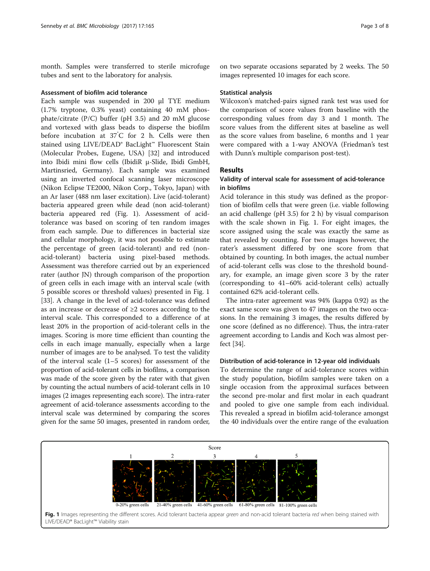month. Samples were transferred to sterile microfuge tubes and sent to the laboratory for analysis.

#### Assessment of biofilm acid tolerance

Each sample was suspended in 200 μl TYE medium (1.7% tryptone, 0.3% yeast) containing 40 mM phosphate/citrate (P/C) buffer (pH 3.5) and 20 mM glucose and vortexed with glass beads to disperse the biofilm before incubation at 37° C for 2 h. Cells were then stained using LIVE/DEAD® BacLight™ Fluorescent Stain (Molecular Probes, Eugene, USA) [\[32](#page-7-0)] and introduced into Ibidi mini flow cells (IbidiR μ-Slide, Ibidi GmbH, Martinsried, Germany). Each sample was examined using an inverted confocal scanning laser microscope (Nikon Eclipse TE2000, Nikon Corp., Tokyo, Japan) with an Ar laser (488 nm laser excitation). Live (acid-tolerant) bacteria appeared green while dead (non acid-tolerant) bacteria appeared red (Fig. 1). Assessment of acidtolerance was based on scoring of ten random images from each sample. Due to differences in bacterial size and cellular morphology, it was not possible to estimate the percentage of green (acid-tolerant) and red (nonacid-tolerant) bacteria using pixel-based methods. Assessment was therefore carried out by an experienced rater (author JN) through comparison of the proportion of green cells in each image with an interval scale (with 5 possible scores or threshold values) presented in Fig. 1 [[33\]](#page-7-0). A change in the level of acid-tolerance was defined as an increase or decrease of ≥2 scores according to the interval scale. This corresponded to a difference of at least 20% in the proportion of acid-tolerant cells in the images. Scoring is more time efficient than counting the cells in each image manually, especially when a large number of images are to be analysed. To test the validity of the interval scale (1–5 scores) for assessment of the proportion of acid-tolerant cells in biofilms, a comparison was made of the score given by the rater with that given by counting the actual numbers of acid-tolerant cells in 10 images (2 images representing each score). The intra-rater agreement of acid-tolerance assessments according to the interval scale was determined by comparing the scores given for the same 50 images, presented in random order,

on two separate occasions separated by 2 weeks. The 50 images represented 10 images for each score.

#### Statistical analysis

Wilcoxon's matched-pairs signed rank test was used for the comparison of score values from baseline with the corresponding values from day 3 and 1 month. The score values from the different sites at baseline as well as the score values from baseline, 6 months and 1 year were compared with a 1-way ANOVA (Friedman's test with Dunn's multiple comparison post-test).

# Results

# Validity of interval scale for assessment of acid-tolerance in biofilms

Acid tolerance in this study was defined as the proportion of biofilm cells that were green (i.e. viable following an acid challenge (pH 3.5) for 2 h) by visual comparison with the scale shown in Fig. 1. For eight images, the score assigned using the scale was exactly the same as that revealed by counting. For two images however, the rater's assessment differed by one score from that obtained by counting. In both images, the actual number of acid-tolerant cells was close to the threshold boundary, for example, an image given score 3 by the rater (corresponding to 41–60% acid-tolerant cells) actually contained 62% acid-tolerant cells.

The intra-rater agreement was 94% (kappa 0.92) as the exact same score was given to 47 images on the two occasions. In the remaining 3 images, the results differed by one score (defined as no difference). Thus, the intra-rater agreement according to Landis and Koch was almost perfect [\[34\]](#page-7-0).

# Distribution of acid-tolerance in 12-year old individuals

To determine the range of acid-tolerance scores within the study population, biofilm samples were taken on a single occasion from the approximal surfaces between the second pre-molar and first molar in each quadrant and pooled to give one sample from each individual. This revealed a spread in biofilm acid-tolerance amongst the 40 individuals over the entire range of the evaluation

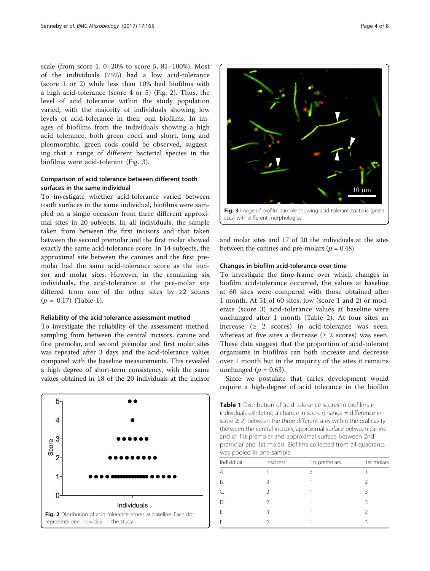<span id="page-3-0"></span>scale (from score 1, 0–20% to score 5, 81–100%). Most of the individuals (75%) had a low acid-tolerance (score 1 or 2) while less than 10% had biofilms with a high acid-tolerance (score 4 or 5) (Fig. 2). Thus, the level of acid tolerance within the study population varied, with the majority of individuals showing low levels of acid-tolerance in their oral biofilms. In images of biofilms from the individuals showing a high acid tolerance, both green cocci and short, long and pleomorphic, green rods could be observed, suggesting that a range of different bacterial species in the biofilms were acid-tolerant (Fig. 3).

# Comparison of acid tolerance between different tooth surfaces in the same individual

To investigate whether acid-tolerance varied between tooth surfaces in the same individual, biofilms were sampled on a single occasion from three different approximal sites in 20 subjects. In all individuals, the sample taken from between the first incisors and that taken between the second premolar and the first molar showed exactly the same acid-tolerance score. In 14 subjects, the approximal site between the canines and the first premolar had the same acid-tolerance score as the incisor and molar sites. However, in the remaining six individuals, the acid-tolerance at the pre-molar site differed from one of the other sites by  $\geq 2$  scores  $(p = 0.17)$  (Table 1).

#### Reliability of the acid tolerance assessment method

To investigate the reliability of the assessment method, sampling from between the central incisors, canine and first premolar, and second premolar and first molar sites was repeated after 3 days and the acid-tolerance values compared with the baseline measurements. This revealed a high degree of short-term consistency, with the same values obtained in 18 of the 20 individuals at the incisor





Fig. 3 Image of biofilm sample showing acid tolerant bacteria (green cells) with different morphologies

and molar sites and 17 of 20 the individuals at the sites between the canines and pre-molars ( $p = 0.48$ ).

#### Changes in biofilm acid-tolerance over time

To investigate the time-frame over which changes in biofilm acid-tolerance occurred, the values at baseline at 60 sites were compared with those obtained after 1 month. At 51 of 60 sites, low (score 1 and 2) or moderate (score 3) acid-tolerance values at baseline were unchanged after 1 month (Table [2\)](#page-4-0). At four sites an increase  $(≥ 2$  scores) in acid-tolerance was seen, whereas at five sites a decrease ( $\geq$  2 scores) was seen. These data suggest that the proportion of acid-tolerant organisms in biofilms can both increase and decrease over 1 month but in the majority of the sites it remains unchanged ( $p = 0.63$ ).

Since we postulate that caries development would require a high-degree of acid tolerance in the biofilm

Table 1 Distribution of acid tolerance scores in biofilms in individuals exhibiting a change in score (change = difference in score  $\geq$  2) between the three different sites within the oral cavity (between the central incisors, approximal surface between canine and of 1st premolar and approximal surface between 2nd premolar and 1st molar). Biofilms collected from all quadrants was pooled in one sample

| Individual | Inscisors | 1st premolars | 1st molars |
|------------|-----------|---------------|------------|
| А.         |           | Κ             |            |
| В.         | Β         |               |            |
| C.         |           |               |            |
| D.         | 2         |               | २          |
| Ε.         | २         |               |            |
| F.         |           |               |            |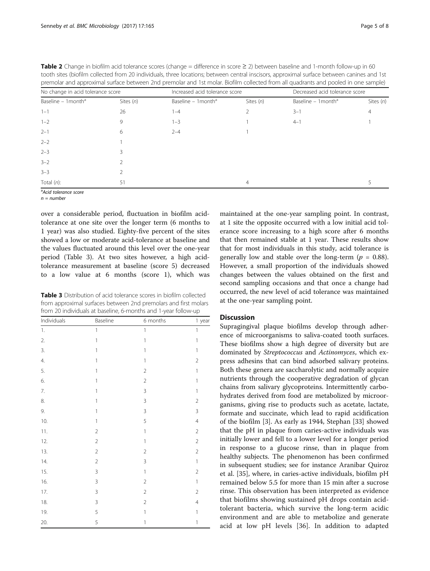| premotal and approximativament between zha premotal and ist motal. Diomini collected nomi all quadrants and pooled in one sample) |             |                                  |                |                                   |             |  |  |
|-----------------------------------------------------------------------------------------------------------------------------------|-------------|----------------------------------|----------------|-----------------------------------|-------------|--|--|
| No change in acid tolerance score                                                                                                 |             | Increased acid tolerance score   |                | Decreased acid tolerance score    |             |  |  |
| Baseline $-1$ month <sup>a</sup>                                                                                                  | Sites $(n)$ | Baseline $-1$ month <sup>a</sup> | Sites $(n)$    | Baseline $- 1$ month <sup>a</sup> | Sites $(n)$ |  |  |
| $1 - 1$                                                                                                                           | 26          | $1 - 4$                          |                | $3 - 1$                           | 4           |  |  |
| $1 - 2$                                                                                                                           | 9           | $1 - 3$                          |                | $4 - 1$                           |             |  |  |
| $2 - 1$                                                                                                                           | 6           | $2 - 4$                          |                |                                   |             |  |  |
| $2 - 2$                                                                                                                           |             |                                  |                |                                   |             |  |  |
| $2 - 3$                                                                                                                           |             |                                  |                |                                   |             |  |  |
| $3 - 2$                                                                                                                           |             |                                  |                |                                   |             |  |  |
| $3 - 3$                                                                                                                           |             |                                  |                |                                   |             |  |  |
| Total $(n)$ :                                                                                                                     | 51          |                                  | $\overline{4}$ |                                   |             |  |  |
|                                                                                                                                   |             |                                  |                |                                   |             |  |  |

<span id="page-4-0"></span>Table 2 Change in biofilm acid tolerance scores (change = difference in score  $\geq$  2) between baseline and 1-month follow-up in 60 tooth sites (biofilm collected from 20 individuals, three locations; between central inscisors, approximal surface between canines and 1st premolar and approximal surface between 2nd premolar and 1st molar. Biofilm collected from all quadrants and pooled in one sample)

<sup>a</sup>Acid tolerance score

 $n = number$ 

over a considerable period, fluctuation in biofilm acidtolerance at one site over the longer term (6 months to 1 year) was also studied. Eighty-five percent of the sites showed a low or moderate acid-tolerance at baseline and the values fluctuated around this level over the one-year period (Table 3). At two sites however, a high acidtolerance measurement at baseline (score 5) decreased to a low value at 6 months (score 1), which was

**Table 3** Distribution of acid tolerance scores in biofilm collected from approximal surfaces between 2nd premolars and first molars from 20 individuals at baseline, 6-months and 1-year follow-up

| Individuals | Baseline       | ╯<br>6 months           | T.<br>1 year   |  |
|-------------|----------------|-------------------------|----------------|--|
| $1. \,$     | $\mathbf{1}$   | $\mathbf{1}$            | $\mathbf{1}$   |  |
| 2.          | 1              | $\mathbf{1}$            | $\mathbf{1}$   |  |
| 3.          | $\mathbf{1}$   | $\mathbf{1}$            | $\mathbf{1}$   |  |
| 4.          | $\mathbb{1}$   | $\mathbf{1}$            | $\overline{2}$ |  |
| 5.          | $\mathbf{1}$   | $\overline{2}$          | $\mathbf 1$    |  |
| 6.          | 1              | $\overline{c}$          | 1              |  |
| 7.          | $\mathbf{1}$   | $\overline{\mathbf{3}}$ | 1              |  |
| 8.          | $\mathbb{1}$   | 3                       | $\overline{2}$ |  |
| 9.          | $\mathbf{1}$   | $\overline{3}$          | $\overline{3}$ |  |
| $10.$       | 1              | 5                       | $\overline{4}$ |  |
| 11.         | $\sqrt{2}$     | $\mathbf{1}$            | $\overline{2}$ |  |
| 12.         | $\sqrt{2}$     | $\mathbf{1}$            | $\overline{2}$ |  |
| 13.         | $\sqrt{2}$     | $\overline{2}$          | $\overline{2}$ |  |
| 14.         | $\sqrt{2}$     | $\overline{3}$          | $\mathbf{1}$   |  |
| 15.         | $\overline{3}$ | $\mathbf{1}$            | $\overline{2}$ |  |
| 16.         | $\mathsf 3$    | $\overline{2}$          | $\mathbf{1}$   |  |
| $17.$       | $\overline{3}$ | $\overline{c}$          | $\overline{c}$ |  |
| 18.         | $\mathsf 3$    | $\overline{2}$          | $\overline{4}$ |  |
| 19.         | 5              | 1                       | $\mathbf{1}$   |  |
| 20.         | 5              | 1                       | $\mathbf{1}$   |  |

maintained at the one-year sampling point. In contrast, at 1 site the opposite occurred with a low initial acid tolerance score increasing to a high score after 6 months that then remained stable at 1 year. These results show that for most individuals in this study, acid tolerance is generally low and stable over the long-term ( $p = 0.88$ ). However, a small proportion of the individuals showed changes between the values obtained on the first and second sampling occasions and that once a change had occurred, the new level of acid tolerance was maintained at the one-year sampling point.

# **Discussion**

Supragingival plaque biofilms develop through adherence of microorganisms to saliva-coated tooth surfaces. These biofilms show a high degree of diversity but are dominated by Streptococcus and Actinomyces, which express adhesins that can bind adsorbed salivary proteins. Both these genera are saccharolytic and normally acquire nutrients through the cooperative degradation of glycan chains from salivary glycoproteins. Intermittently carbohydrates derived from food are metabolized by microorganisms, giving rise to products such as acetate, lactate, formate and succinate, which lead to rapid acidification of the biofilm [[3\]](#page-6-0). As early as 1944, Stephan [[33\]](#page-7-0) showed that the pH in plaque from caries-active individuals was initially lower and fell to a lower level for a longer period in response to a glucose rinse, than in plaque from healthy subjects. The phenomenon has been confirmed in subsequent studies; see for instance Aranibar Quiroz et al. [[35\]](#page-7-0), where, in caries-active individuals, biofilm pH remained below 5.5 for more than 15 min after a sucrose rinse. This observation has been interpreted as evidence that biofilms showing sustained pH drops contain acidtolerant bacteria, which survive the long-term acidic environment and are able to metabolize and generate acid at low pH levels [[36](#page-7-0)]. In addition to adapted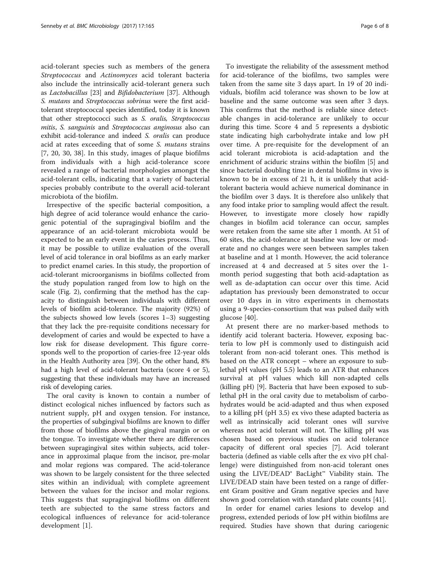acid-tolerant species such as members of the genera Streptococcus and Actinomyces acid tolerant bacteria also include the intrinsically acid-tolerant genera such as Lactobacillus [\[23\]](#page-7-0) and Bifidobacterium [\[37\]](#page-7-0). Although S. mutans and Streptococcus sobrinus were the first acidtolerant streptococcal species identified, today it is known that other streptococci such as S. oralis, Streptococcus mitis, S. sanguinis and Streptococcus anginosus also can exhibit acid-tolerance and indeed S. oralis can produce acid at rates exceeding that of some S. mutans strains [[7,](#page-6-0) [20, 30, 38\]](#page-7-0). In this study, images of plaque biofilms from individuals with a high acid-tolerance score revealed a range of bacterial morphologies amongst the acid-tolerant cells, indicating that a variety of bacterial species probably contribute to the overall acid-tolerant microbiota of the biofilm.

Irrespective of the specific bacterial composition, a high degree of acid tolerance would enhance the cariogenic potential of the supragingival biofilm and the appearance of an acid-tolerant microbiota would be expected to be an early event in the caries process. Thus, it may be possible to utilize evaluation of the overall level of acid tolerance in oral biofilms as an early marker to predict enamel caries. In this study, the proportion of acid-tolerant microorganisms in biofilms collected from the study population ranged from low to high on the scale (Fig. [2](#page-3-0)), confirming that the method has the capacity to distinguish between individuals with different levels of biofilm acid-tolerance. The majority (92%) of the subjects showed low levels (scores 1–3) suggesting that they lack the pre-requisite conditions necessary for development of caries and would be expected to have a low risk for disease development. This figure corresponds well to the proportion of caries-free 12-year olds in the Health Authority area [[39\]](#page-7-0). On the other hand, 8% had a high level of acid-tolerant bacteria (score 4 or 5), suggesting that these individuals may have an increased risk of developing caries.

The oral cavity is known to contain a number of distinct ecological niches influenced by factors such as nutrient supply, pH and oxygen tension. For instance, the properties of subgingival biofilms are known to differ from those of biofilms above the gingival margin or on the tongue. To investigate whether there are differences between supragingival sites within subjects, acid tolerance in approximal plaque from the incisor, pre-molar and molar regions was compared. The acid-tolerance was shown to be largely consistent for the three selected sites within an individual; with complete agreement between the values for the incisor and molar regions. This suggests that supragingival biofilms on different teeth are subjected to the same stress factors and ecological influences of relevance for acid-tolerance development [[1\]](#page-6-0).

To investigate the reliability of the assessment method for acid-tolerance of the biofilms, two samples were taken from the same site 3 days apart. In 19 of 20 individuals, biofilm acid tolerance was shown to be low at baseline and the same outcome was seen after 3 days. This confirms that the method is reliable since detectable changes in acid-tolerance are unlikely to occur during this time. Score 4 and 5 represents a dysbiotic state indicating high carbohydrate intake and low pH over time. A pre-requisite for the development of an acid tolerant microbiota is acid-adaptation and the enrichment of aciduric strains within the biofilm [\[5](#page-6-0)] and since bacterial doubling time in dental biofilms in vivo is known to be in excess of 21 h, it is unlikely that acidtolerant bacteria would achieve numerical dominance in the biofilm over 3 days. It is therefore also unlikely that any food intake prior to sampling would affect the result. However, to investigate more closely how rapidly changes in biofilm acid tolerance can occur, samples were retaken from the same site after 1 month. At 51 of 60 sites, the acid-tolerance at baseline was low or moderate and no changes were seen between samples taken at baseline and at 1 month. However, the acid tolerance increased at 4 and decreased at 5 sites over the 1 month period suggesting that both acid-adaptation as well as de-adaptation can occur over this time. Acid adaptation has previously been demonstrated to occur over 10 days in in vitro experiments in chemostats using a 9-species-consortium that was pulsed daily with glucose [[40\]](#page-7-0).

At present there are no marker-based methods to identify acid tolerant bacteria. However, exposing bacteria to low pH is commonly used to distinguish acid tolerant from non-acid tolerant ones. This method is based on the ATR concept – where an exposure to sublethal pH values (pH 5.5) leads to an ATR that enhances survival at pH values which kill non-adapted cells (killing pH) [[9\]](#page-6-0). Bacteria that have been exposed to sublethal pH in the oral cavity due to metabolism of carbohydrates would be acid-adapted and thus when exposed to a killing pH (pH 3.5) ex vivo these adapted bacteria as well as intrinsically acid tolerant ones will survive whereas not acid tolerant will not. The killing pH was chosen based on previous studies on acid tolerance capacity of different oral species [\[7](#page-6-0)]. Acid tolerant bacteria (defined as viable cells after the ex vivo pH challenge) were distinguished from non-acid tolerant ones using the LIVE/DEAD® BacLight™ Viability stain. The LIVE/DEAD stain have been tested on a range of different Gram positive and Gram negative species and have shown good correlation with standard plate counts [[41\]](#page-7-0).

In order for enamel caries lesions to develop and progress, extended periods of low pH within biofilms are required. Studies have shown that during cariogenic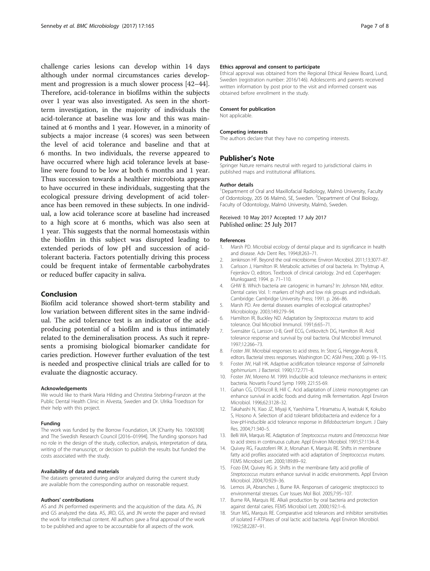<span id="page-6-0"></span>challenge caries lesions can develop within 14 days although under normal circumstances caries development and progression is a much slower process [[42](#page-7-0)–[44](#page-7-0)]. Therefore, acid-tolerance in biofilms within the subjects over 1 year was also investigated. As seen in the shortterm investigation, in the majority of individuals the acid-tolerance at baseline was low and this was maintained at 6 months and 1 year. However, in a minority of subjects a major increase (4 scores) was seen between the level of acid tolerance and baseline and that at 6 months. In two individuals, the reverse appeared to have occurred where high acid tolerance levels at baseline were found to be low at both 6 months and 1 year. Thus succession towards a healthier microbiota appears to have occurred in these individuals, suggesting that the ecological pressure driving development of acid tolerance has been removed in these subjects. In one individual, a low acid tolerance score at baseline had increased to a high score at 6 months, which was also seen at 1 year. This suggests that the normal homeostasis within the biofilm in this subject was disrupted leading to extended periods of low pH and succession of acidtolerant bacteria. Factors potentially driving this process could be frequent intake of fermentable carbohydrates or reduced buffer capacity in saliva.

# Conclusion

Biofilm acid tolerance showed short-term stability and low variation between different sites in the same individual. The acid tolerance test is an indicator of the acidproducing potential of a biofilm and is thus intimately related to the demineralisation process. As such it represents a promising biological biomarker candidate for caries prediction. However further evaluation of the test is needed and prospective clinical trials are called for to evaluate the diagnostic accuracy.

#### Acknowledgements

We would like to thank Maria Hilding and Christina Stebring-Franzon at the Public Dental Health Clinic in Alvesta, Sweden and Dr. Ulrika Troedsson for their help with this project.

#### Funding

The work was funded by the Borrow Foundation, UK [Charity No. 1060308] and The Swedish Research Council [2016–01994]. The funding sponsors had no role in the design of the study, collection, analysis, interpretation of data, writing of the manuscript, or decision to publish the results but funded the costs associated with the study.

#### Availability of data and materials

The datasets generated during and/or analyzed during the current study are available from the corresponding author on reasonable request.

#### Authors' contributions

AS and JN performed experiments and the acquisition of the data. AS, JN and GS analyzed the data. AS, JRD, GS, and JN wrote the paper and revised the work for intellectual content. All authors gave a final approval of the work to be published and agree to be accountable for all aspects of the work.

#### Ethics approval and consent to participate

Ethical approval was obtained from the Regional Ethical Review Board, Lund, Sweden (registration number: 2016/146). Adolescents and parents received written information by post prior to the visit and informed consent was obtained before enrollment in the study.

#### Consent for publication

Not applicable.

#### Competing interests

The authors declare that they have no competing interests.

#### Publisher's Note

Springer Nature remains neutral with regard to jurisdictional claims in published maps and institutional affiliations.

#### Author details

<sup>1</sup>Department of Oral and Maxillofacial Radiology, Malmö University, Faculty of Odontology, 205 06 Malmö, SE, Sweden. <sup>2</sup>Department of Oral Biology Faculty of Odontology, Malmö University, Malmö, Sweden.

# Received: 10 May 2017 Accepted: 17 July 2017 Published online: 25 July 2017

#### References

- 1. Marsh PD. Microbial ecology of dental plaque and its significance in health and disease. Adv Dent Res. 1994;8:263–71.
- 2. Jenkinson HF. Beyond the oral microbiome. Environ Microbiol. 2011;13:3077–87.
- 3. Carlsson J, Hamilton IR. Metabolic activities of oral bacteria. In: Thylstrup A, Fejerskov O, editors. Textbook of clinical cariology. 2nd ed. Copenhagen: Munksgaard; 1994. p. 71–110.
- 4. GHW B. Which bacteria are cariogenic in humans? In: Johnson NM, editor. Dental caries Vol. 1: markers of high and low risk groups and individuals. Cambridge: Cambridge University Press; 1991. p. 266–86.
- 5. Marsh PD. Are dental diseases examples of ecological catastrophes? Microbiology. 2003;149:279–94.
- 6. Hamilton IR, Buckley ND. Adaptation by Streptococcus mutans to acid tolerance. Oral Microbiol Immunol. 1991;6:65–71.
- 7. Svensäter G, Larsson U-B, Greif ECG, Cvitkovitch DG, Hamilton IR. Acid tolerance response and survival by oral bacteria. Oral Microbiol Immunol. 1997;12:266–73.
- 8. Foster JW. Microbial responses to acid stress. In: Storz G, Hengge-Aronis R, editors. Bacterial stress responses. Washington DC: ASM Press; 2000. p. 99–115.
- 9. Foster JW, Hall HK. Adaptive acidification tolerance response of Salmonella typhimurium. J Bacteriol. 1990;172:771–8.
- 10. Foster JW, Moreno M. 1999. Inducible acid tolerance mechanisms in enteric bacteria. Novartis Found Symp 1999; 221:55-69.
- 11. Gahan CG, O'Driscoll B, Hill C. Acid adaptation of Listeria monocytogenes can enhance survival in acidic foods and during milk fermentation. Appl Environ Microbiol. 1996;62:3128–32.
- 12. Takahashi N, Xiao JZ, Miyaji K, Yaeshiima T, Hiramatsu A, Iwatsuki K, Kokubo S, Hosono A. Selection of acid tolerant bifidobacteria and evidence for a low-pH-inducible acid tolerance response in Bifidobacterium longum. J Dairy Res. 2004;71:340–5.
- 13. Belli WA, Marquis RE. Adaptation of Streptococcus mutans and Enterococcus hirae to acid stress in continuous culture. Appl Environ Microbiol. 1991;57:1134–8.
- 14. Quivey RG, Faustoferri RK Jr, Monahan K, Marquis RE. Shifts in membrane fatty acid profiles associated with acid adaptation of Streptococcus mutans. FEMS Microbiol Lett. 2000;189:89–92.
- 15. Fozo EM, Quivey RG Jr. Shifts in the membrane fatty acid profile of Streptococcus mutans enhance survival in acidic environments. Appl Environ Microbiol. 2004;70:929–36.
- 16. Lemos JA, Abranches J, Burne RA. Responses of cariogenic streptococci to environmental stresses. Curr Issues Mol Biol. 2005;7:95–107.
- 17. Burne RA, Marquis RE. Alkali production by oral bacteria and protection against dental caries. FEMS Microbiol Lett. 2000;192:1–6.
- 18. Sturr MG, Marquis RE. Comparative acid tolerances and inhibitor sensitivities of isolated F-ATPases of oral lactic acid bacteria. Appl Environ Microbiol. 1992;58:2287–91.